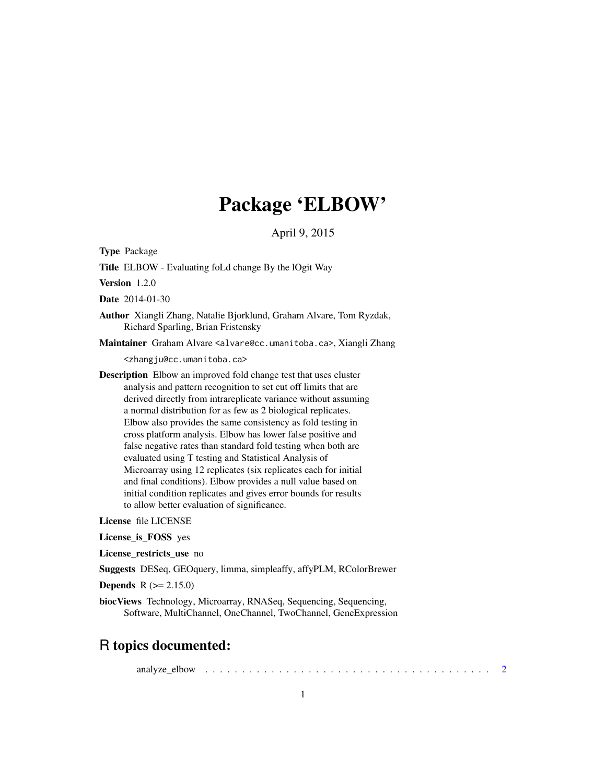## Package 'ELBOW'

April 9, 2015

Type Package

Title ELBOW - Evaluating foLd change By the lOgit Way

Version 1.2.0

Date 2014-01-30

Author Xiangli Zhang, Natalie Bjorklund, Graham Alvare, Tom Ryzdak, Richard Sparling, Brian Fristensky

Maintainer Graham Alvare <alvare@cc.umanitoba.ca>, Xiangli Zhang

<zhangju@cc.umanitoba.ca>

Description Elbow an improved fold change test that uses cluster analysis and pattern recognition to set cut off limits that are derived directly from intrareplicate variance without assuming a normal distribution for as few as 2 biological replicates. Elbow also provides the same consistency as fold testing in cross platform analysis. Elbow has lower false positive and false negative rates than standard fold testing when both are evaluated using T testing and Statistical Analysis of Microarray using 12 replicates (six replicates each for initial and final conditions). Elbow provides a null value based on initial condition replicates and gives error bounds for results to allow better evaluation of significance.

License file LICENSE

License\_is\_FOSS yes

License restricts use no

Suggests DESeq, GEOquery, limma, simpleaffy, affyPLM, RColorBrewer

**Depends**  $R (= 2.15.0)$ 

biocViews Technology, Microarray, RNASeq, Sequencing, Sequencing, Software, MultiChannel, OneChannel, TwoChannel, GeneExpression

## R topics documented:

analyze\_elbow . . . . . . . . . . . . . . . . . . . . . . . . . . . . . . . . . . . . . . . [2](#page-1-0)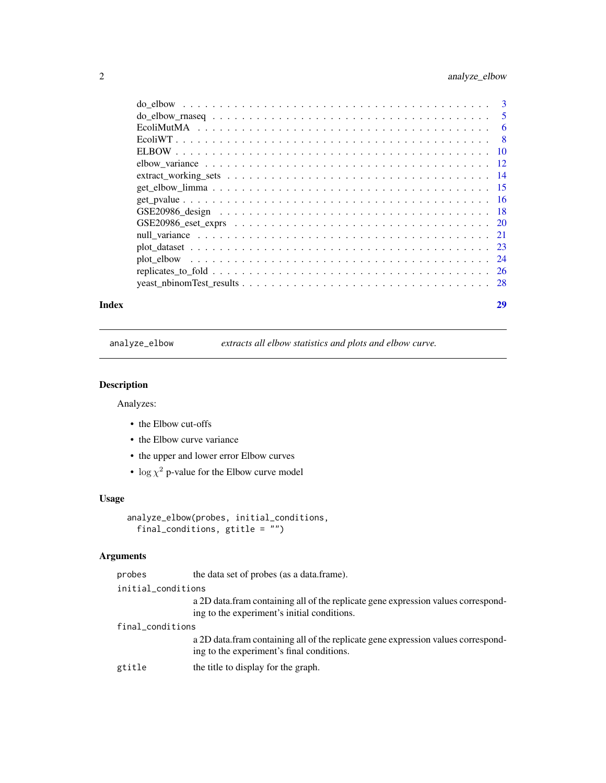## <span id="page-1-0"></span>2 analyze\_elbow

|     | 5  |
|-----|----|
|     | -6 |
| - 8 |    |
|     |    |
|     |    |
|     |    |
|     |    |
|     |    |
|     |    |
|     |    |
|     |    |
|     |    |
|     |    |
|     |    |
|     |    |
|     |    |

#### **Index** [29](#page-28-0)

<span id="page-1-1"></span>analyze\_elbow *extracts all elbow statistics and plots and elbow curve.*

## Description

Analyzes:

- the Elbow cut-offs
- the Elbow curve variance
- the upper and lower error Elbow curves
- $\log \chi^2$  p-value for the Elbow curve model

## Usage

```
analyze_elbow(probes, initial_conditions,
 final_conditions, gtitle = '')
```
## Arguments

| probes             | the data set of probes (as a data.frame).                                                                                        |
|--------------------|----------------------------------------------------------------------------------------------------------------------------------|
| initial_conditions |                                                                                                                                  |
|                    | a 2D data fram containing all of the replicate gene expression values correspond-<br>ing to the experiment's initial conditions. |
| final_conditions   |                                                                                                                                  |
|                    | a 2D data fram containing all of the replicate gene expression values correspond-<br>ing to the experiment's final conditions.   |
| gtitle             | the title to display for the graph.                                                                                              |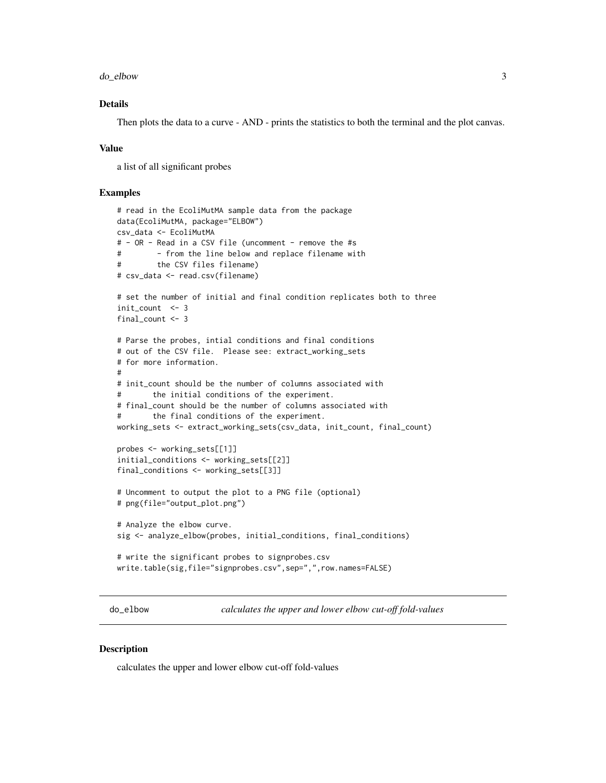<span id="page-2-0"></span>do\_elbow 3

## Details

Then plots the data to a curve - AND - prints the statistics to both the terminal and the plot canvas.

#### Value

a list of all significant probes

## Examples

```
# read in the EcoliMutMA sample data from the package
data(EcoliMutMA, package="ELBOW")
csv_data <- EcoliMutMA
# - OR - Read in a CSV file (uncomment - remove the #s
# - from the line below and replace filename with
# the CSV files filename)
# csv_data <- read.csv(filename)
# set the number of initial and final condition replicates both to three
init_count <- 3
final_count <- 3
# Parse the probes, intial conditions and final conditions
# out of the CSV file. Please see: extract_working_sets
# for more information.
#
# init_count should be the number of columns associated with
# the initial conditions of the experiment.
# final_count should be the number of columns associated with
# the final conditions of the experiment.
working_sets <- extract_working_sets(csv_data, init_count, final_count)
probes <- working_sets[[1]]
initial_conditions <- working_sets[[2]]
final_conditions <- working_sets[[3]]
# Uncomment to output the plot to a PNG file (optional)
# png(file="output_plot.png")
# Analyze the elbow curve.
sig <- analyze_elbow(probes, initial_conditions, final_conditions)
# write the significant probes to signprobes.csv
write.table(sig,file="signprobes.csv",sep=",",row.names=FALSE)
```
<span id="page-2-1"></span>do\_elbow *calculates the upper and lower elbow cut-off fold-values*

#### Description

calculates the upper and lower elbow cut-off fold-values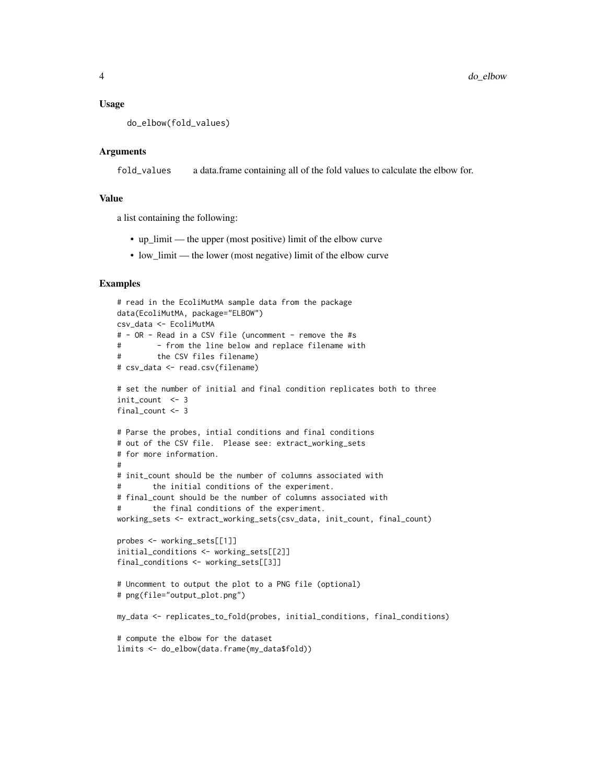#### Usage

do\_elbow(fold\_values)

#### Arguments

fold\_values a data.frame containing all of the fold values to calculate the elbow for.

#### Value

a list containing the following:

- up\_limit the upper (most positive) limit of the elbow curve
- low\_limit the lower (most negative) limit of the elbow curve

```
# read in the EcoliMutMA sample data from the package
data(EcoliMutMA, package="ELBOW")
csv_data <- EcoliMutMA
# - OR - Read in a CSV file (uncomment - remove the #s
# - from the line below and replace filename with
# the CSV files filename)
# csv_data <- read.csv(filename)
# set the number of initial and final condition replicates both to three
init count <- 3final_count <- 3
# Parse the probes, intial conditions and final conditions
# out of the CSV file. Please see: extract_working_sets
# for more information.
#
# init count should be the number of columns associated with
# the initial conditions of the experiment.
# final_count should be the number of columns associated with
# the final conditions of the experiment.
working_sets <- extract_working_sets(csv_data, init_count, final_count)
probes <- working_sets[[1]]
initial_conditions <- working_sets[[2]]
final_conditions <- working_sets[[3]]
# Uncomment to output the plot to a PNG file (optional)
# png(file="output_plot.png")
my_data <- replicates_to_fold(probes, initial_conditions, final_conditions)
# compute the elbow for the dataset
limits <- do_elbow(data.frame(my_data$fold))
```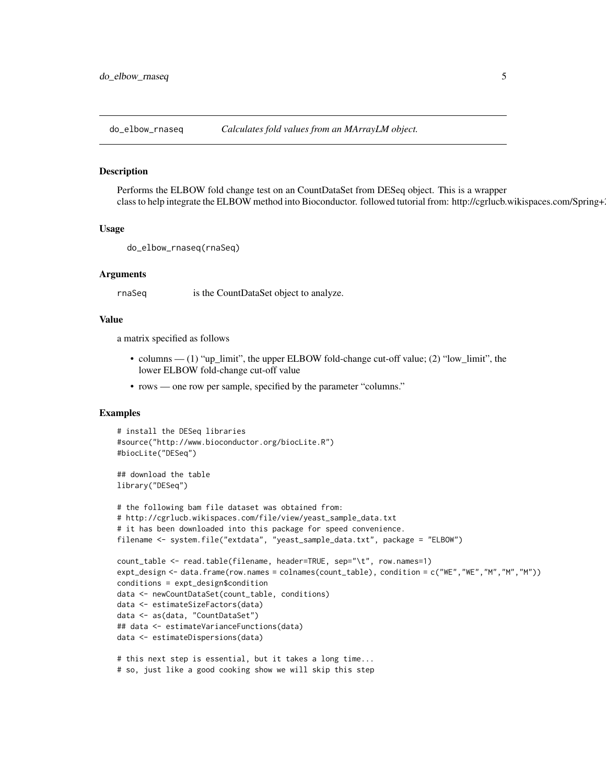<span id="page-4-0"></span>do\_elbow\_rnaseq *Calculates fold values from an MArrayLM object.*

#### Description

Performs the ELBOW fold change test on an CountDataSet from DESeq object. This is a wrapper class to help integrate the ELBOW method into Bioconductor. followed tutorial from: http://cgrlucb.wikispaces.com/Spring+

#### Usage

```
do_elbow_rnaseq(rnaSeq)
```
#### Arguments

rnaSeq is the CountDataSet object to analyze.

## Value

a matrix specified as follows

- columns (1) "up\_limit", the upper ELBOW fold-change cut-off value; (2) "low\_limit", the lower ELBOW fold-change cut-off value
- rows one row per sample, specified by the parameter "columns."

#### Examples

```
# install the DESeq libraries
#source("http://www.bioconductor.org/biocLite.R")
#biocLite("DESeq")
```
## download the table library("DESeq")

```
# the following bam file dataset was obtained from:
# http://cgrlucb.wikispaces.com/file/view/yeast_sample_data.txt
# it has been downloaded into this package for speed convenience.
filename <- system.file("extdata", "yeast_sample_data.txt", package = "ELBOW")
count_table <- read.table(filename, header=TRUE, sep="\t", row.names=1)
expt_design <- data.frame(row.names = colnames(count_table), condition = c("WE","WE","M","M","M"))
conditions = expt_design$condition
data <- newCountDataSet(count_table, conditions)
data <- estimateSizeFactors(data)
data <- as(data, "CountDataSet")
## data <- estimateVarianceFunctions(data)
data <- estimateDispersions(data)
# this next step is essential, but it takes a long time...
# so, just like a good cooking show we will skip this step
```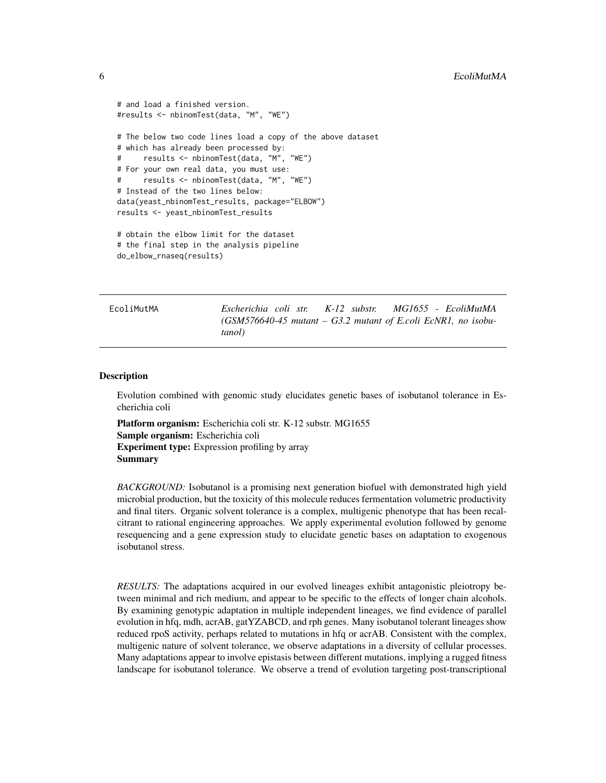```
# and load a finished version.
#results <- nbinomTest(data, "M", "WE")
# The below two code lines load a copy of the above dataset
# which has already been processed by:
# results <- nbinomTest(data, "M", "WE")
# For your own real data, you must use:
     results <- nbinomTest(data, "M", "WE")
# Instead of the two lines below:
data(yeast_nbinomTest_results, package="ELBOW")
results <- yeast_nbinomTest_results
# obtain the elbow limit for the dataset
# the final step in the analysis pipeline
do_elbow_rnaseq(results)
```
EcoliMutMA *Escherichia coli str. K-12 substr. MG1655 - EcoliMutMA (GSM576640-45 mutant – G3.2 mutant of E.coli EcNR1, no isobutanol)*

#### Description

Evolution combined with genomic study elucidates genetic bases of isobutanol tolerance in Escherichia coli

Platform organism: Escherichia coli str. K-12 substr. MG1655 Sample organism: Escherichia coli Experiment type: Expression profiling by array Summary

*BACKGROUND:* Isobutanol is a promising next generation biofuel with demonstrated high yield microbial production, but the toxicity of this molecule reduces fermentation volumetric productivity and final titers. Organic solvent tolerance is a complex, multigenic phenotype that has been recalcitrant to rational engineering approaches. We apply experimental evolution followed by genome resequencing and a gene expression study to elucidate genetic bases on adaptation to exogenous isobutanol stress.

*RESULTS:* The adaptations acquired in our evolved lineages exhibit antagonistic pleiotropy between minimal and rich medium, and appear to be specific to the effects of longer chain alcohols. By examining genotypic adaptation in multiple independent lineages, we find evidence of parallel evolution in hfq, mdh, acrAB, gatYZABCD, and rph genes. Many isobutanol tolerant lineages show reduced rpoS activity, perhaps related to mutations in hfq or acrAB. Consistent with the complex, multigenic nature of solvent tolerance, we observe adaptations in a diversity of cellular processes. Many adaptations appear to involve epistasis between different mutations, implying a rugged fitness landscape for isobutanol tolerance. We observe a trend of evolution targeting post-transcriptional

<span id="page-5-0"></span>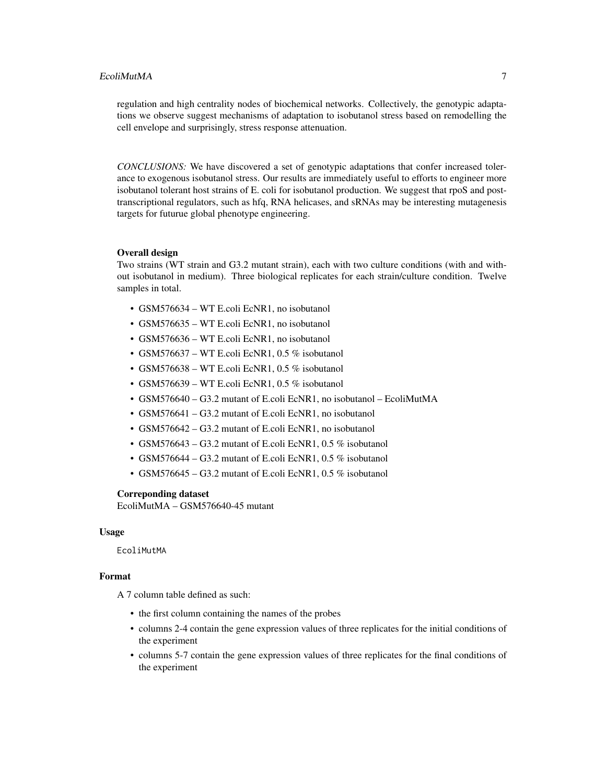regulation and high centrality nodes of biochemical networks. Collectively, the genotypic adaptations we observe suggest mechanisms of adaptation to isobutanol stress based on remodelling the cell envelope and surprisingly, stress response attenuation.

*CONCLUSIONS:* We have discovered a set of genotypic adaptations that confer increased tolerance to exogenous isobutanol stress. Our results are immediately useful to efforts to engineer more isobutanol tolerant host strains of E. coli for isobutanol production. We suggest that rpoS and posttranscriptional regulators, such as hfq, RNA helicases, and sRNAs may be interesting mutagenesis targets for futurue global phenotype engineering.

#### Overall design

Two strains (WT strain and G3.2 mutant strain), each with two culture conditions (with and without isobutanol in medium). Three biological replicates for each strain/culture condition. Twelve samples in total.

- GSM576634 WT E.coli EcNR1, no isobutanol
- GSM576635 WT E.coli EcNR1, no isobutanol
- GSM576636 WT E.coli EcNR1, no isobutanol
- GSM576637 WT E.coli EcNR1, 0.5 % isobutanol
- GSM576638 WT E.coli EcNR1, 0.5 % isobutanol
- GSM576639 WT E.coli EcNR1, 0.5 % isobutanol
- GSM576640 G3.2 mutant of E.coli EcNR1, no isobutanol EcoliMutMA
- GSM576641 G3.2 mutant of E.coli EcNR1, no isobutanol
- GSM576642 G3.2 mutant of E.coli EcNR1, no isobutanol
- GSM576643 G3.2 mutant of E.coli EcNR1, 0.5 % isobutanol
- GSM576644 G3.2 mutant of E.coli EcNR1, 0.5 % isobutanol
- GSM576645 G3.2 mutant of E.coli EcNR1, 0.5 % isobutanol

#### Correponding dataset

EcoliMutMA – GSM576640-45 mutant

#### Usage

EcoliMutMA

## Format

A 7 column table defined as such:

- the first column containing the names of the probes
- columns 2-4 contain the gene expression values of three replicates for the initial conditions of the experiment
- columns 5-7 contain the gene expression values of three replicates for the final conditions of the experiment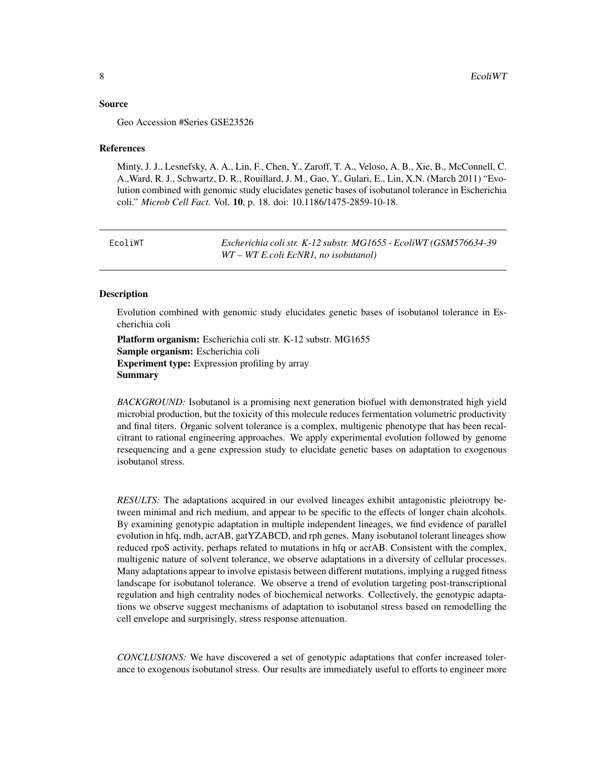#### <span id="page-7-0"></span>Source

Geo Accession #Series GSE23526

#### References

Minty, J. J., Lesnefsky, A. A., Lin, F., Chen, Y., Zaroff, T. A., Veloso, A. B., Xie, B., McConnell, C. A.,Ward, R. J., Schwartz, D. R., Rouillard, J. M., Gao, Y., Gulari, E., Lin, X.N. (March 2011) "Evolution combined with genomic study elucidates genetic bases of isobutanol tolerance in Escherichia coli." *Microb Cell Fact.* Vol. 10, p. 18. doi: 10.1186/1475-2859-10-18.

EcoliWT *Escherichia coli str. K-12 substr. MG1655 - EcoliWT (GSM576634-39 WT – WT E.coli EcNR1, no isobutanol)*

#### Description

Evolution combined with genomic study elucidates genetic bases of isobutanol tolerance in Escherichia coli

Platform organism: Escherichia coli str. K-12 substr. MG1655 Sample organism: Escherichia coli Experiment type: Expression profiling by array **Summary** 

*BACKGROUND:* Isobutanol is a promising next generation biofuel with demonstrated high yield microbial production, but the toxicity of this molecule reduces fermentation volumetric productivity and final titers. Organic solvent tolerance is a complex, multigenic phenotype that has been recalcitrant to rational engineering approaches. We apply experimental evolution followed by genome resequencing and a gene expression study to elucidate genetic bases on adaptation to exogenous isobutanol stress.

*RESULTS:* The adaptations acquired in our evolved lineages exhibit antagonistic pleiotropy between minimal and rich medium, and appear to be specific to the effects of longer chain alcohols. By examining genotypic adaptation in multiple independent lineages, we find evidence of parallel evolution in hfq, mdh, acrAB, gatYZABCD, and rph genes. Many isobutanol tolerant lineages show reduced rpoS activity, perhaps related to mutations in hfq or acrAB. Consistent with the complex, multigenic nature of solvent tolerance, we observe adaptations in a diversity of cellular processes. Many adaptations appear to involve epistasis between different mutations, implying a rugged fitness landscape for isobutanol tolerance. We observe a trend of evolution targeting post-transcriptional regulation and high centrality nodes of biochemical networks. Collectively, the genotypic adaptations we observe suggest mechanisms of adaptation to isobutanol stress based on remodelling the cell envelope and surprisingly, stress response attenuation.

*CONCLUSIONS:* We have discovered a set of genotypic adaptations that confer increased tolerance to exogenous isobutanol stress. Our results are immediately useful to efforts to engineer more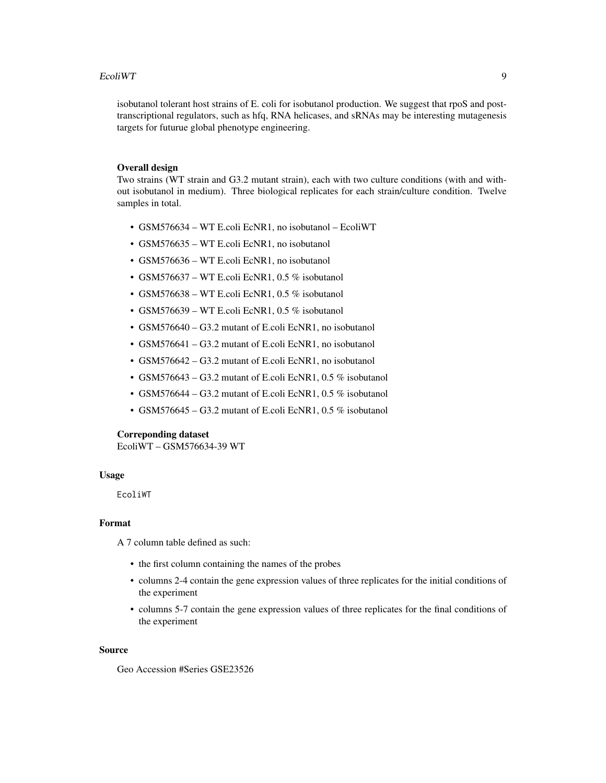#### EcoliWT 9

isobutanol tolerant host strains of E. coli for isobutanol production. We suggest that rpoS and posttranscriptional regulators, such as hfq, RNA helicases, and sRNAs may be interesting mutagenesis targets for futurue global phenotype engineering.

## Overall design

Two strains (WT strain and G3.2 mutant strain), each with two culture conditions (with and without isobutanol in medium). Three biological replicates for each strain/culture condition. Twelve samples in total.

- GSM576634 WT E.coli EcNR1, no isobutanol EcoliWT
- GSM576635 WT E.coli EcNR1, no isobutanol
- GSM576636 WT E.coli EcNR1, no isobutanol
- GSM576637 WT E.coli EcNR1, 0.5 % isobutanol
- GSM576638 WT E.coli EcNR1, 0.5 % isobutanol
- GSM576639 WT E.coli EcNR1, 0.5 % isobutanol
- GSM576640 G3.2 mutant of E.coli EcNR1, no isobutanol
- GSM576641 G3.2 mutant of E.coli EcNR1, no isobutanol
- GSM576642 G3.2 mutant of E.coli EcNR1, no isobutanol
- GSM576643 G3.2 mutant of E.coli EcNR1, 0.5 % isobutanol
- GSM576644 G3.2 mutant of E.coli EcNR1, 0.5 % isobutanol
- GSM576645 G3.2 mutant of E.coli EcNR1, 0.5 % isobutanol

#### Correponding dataset

EcoliWT – GSM576634-39 WT

#### Usage

EcoliWT

#### Format

A 7 column table defined as such:

- the first column containing the names of the probes
- columns 2-4 contain the gene expression values of three replicates for the initial conditions of the experiment
- columns 5-7 contain the gene expression values of three replicates for the final conditions of the experiment

#### Source

Geo Accession #Series GSE23526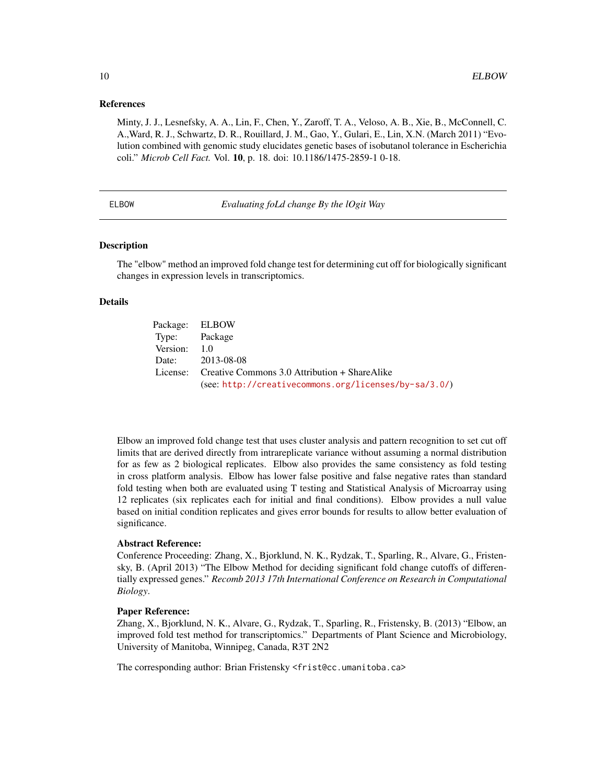#### <span id="page-9-0"></span>References

Minty, J. J., Lesnefsky, A. A., Lin, F., Chen, Y., Zaroff, T. A., Veloso, A. B., Xie, B., McConnell, C. A.,Ward, R. J., Schwartz, D. R., Rouillard, J. M., Gao, Y., Gulari, E., Lin, X.N. (March 2011) "Evolution combined with genomic study elucidates genetic bases of isobutanol tolerance in Escherichia coli." *Microb Cell Fact.* Vol. 10, p. 18. doi: 10.1186/1475-2859-1 0-18.

ELBOW *Evaluating foLd change By the lOgit Way*

#### Description

The "elbow" method an improved fold change test for determining cut off for biologically significant changes in expression levels in transcriptomics.

#### Details

|               | Package: ELBOW                                         |
|---------------|--------------------------------------------------------|
| Type: Package |                                                        |
| Version: 1.0  |                                                        |
|               | Date: 2013-08-08                                       |
|               | License: Creative Commons 3.0 Attribution + ShareAlike |
|               | (see: http://creativecommons.org/licenses/by-sa/3.0/)  |

Elbow an improved fold change test that uses cluster analysis and pattern recognition to set cut off limits that are derived directly from intrareplicate variance without assuming a normal distribution for as few as 2 biological replicates. Elbow also provides the same consistency as fold testing in cross platform analysis. Elbow has lower false positive and false negative rates than standard fold testing when both are evaluated using T testing and Statistical Analysis of Microarray using 12 replicates (six replicates each for initial and final conditions). Elbow provides a null value based on initial condition replicates and gives error bounds for results to allow better evaluation of significance.

#### Abstract Reference:

Conference Proceeding: Zhang, X., Bjorklund, N. K., Rydzak, T., Sparling, R., Alvare, G., Fristensky, B. (April 2013) "The Elbow Method for deciding significant fold change cutoffs of differentially expressed genes." *Recomb 2013 17th International Conference on Research in Computational Biology*.

#### Paper Reference:

Zhang, X., Bjorklund, N. K., Alvare, G., Rydzak, T., Sparling, R., Fristensky, B. (2013) "Elbow, an improved fold test method for transcriptomics." Departments of Plant Science and Microbiology, University of Manitoba, Winnipeg, Canada, R3T 2N2

The corresponding author: Brian Fristensky <frist@cc.umanitoba.ca>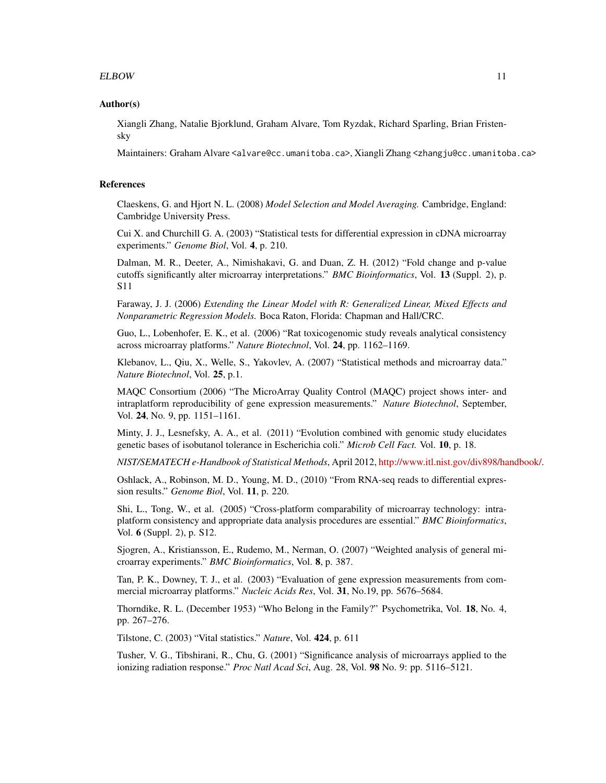#### ELBOW 11

#### Author(s)

Xiangli Zhang, Natalie Bjorklund, Graham Alvare, Tom Ryzdak, Richard Sparling, Brian Fristensky

Maintainers: Graham Alvare <alvare@cc.umanitoba.ca>, Xiangli Zhang <zhangju@cc.umanitoba.ca>

#### References

Claeskens, G. and Hjort N. L. (2008) *Model Selection and Model Averaging.* Cambridge, England: Cambridge University Press.

Cui X. and Churchill G. A. (2003) "Statistical tests for differential expression in cDNA microarray experiments." *Genome Biol*, Vol. 4, p. 210.

Dalman, M. R., Deeter, A., Nimishakavi, G. and Duan, Z. H. (2012) "Fold change and p-value cutoffs significantly alter microarray interpretations." *BMC Bioinformatics*, Vol. 13 (Suppl. 2), p. S11

Faraway, J. J. (2006) *Extending the Linear Model with R: Generalized Linear, Mixed Effects and Nonparametric Regression Models.* Boca Raton, Florida: Chapman and Hall/CRC.

Guo, L., Lobenhofer, E. K., et al. (2006) "Rat toxicogenomic study reveals analytical consistency across microarray platforms." *Nature Biotechnol*, Vol. 24, pp. 1162–1169.

Klebanov, L., Qiu, X., Welle, S., Yakovlev, A. (2007) "Statistical methods and microarray data." *Nature Biotechnol*, Vol. 25, p.1.

MAQC Consortium (2006) "The MicroArray Quality Control (MAQC) project shows inter- and intraplatform reproducibility of gene expression measurements." *Nature Biotechnol*, September, Vol. 24, No. 9, pp. 1151–1161.

Minty, J. J., Lesnefsky, A. A., et al. (2011) "Evolution combined with genomic study elucidates genetic bases of isobutanol tolerance in Escherichia coli." *Microb Cell Fact.* Vol. 10, p. 18.

*NIST/SEMATECH e-Handbook of Statistical Methods*, April 2012, [http://www.itl.nist.gov/div898/handbook/.](http://www.itl.nist.gov/div898/handbook/)

Oshlack, A., Robinson, M. D., Young, M. D., (2010) "From RNA-seq reads to differential expression results." *Genome Biol*, Vol. 11, p. 220.

Shi, L., Tong, W., et al. (2005) "Cross-platform comparability of microarray technology: intraplatform consistency and appropriate data analysis procedures are essential." *BMC Bioinformatics*, Vol. 6 (Suppl. 2), p. S12.

Sjogren, A., Kristiansson, E., Rudemo, M., Nerman, O. (2007) "Weighted analysis of general microarray experiments." *BMC Bioinformatics*, Vol. 8, p. 387.

Tan, P. K., Downey, T. J., et al. (2003) "Evaluation of gene expression measurements from commercial microarray platforms." *Nucleic Acids Res*, Vol. 31, No.19, pp. 5676–5684.

Thorndike, R. L. (December 1953) "Who Belong in the Family?" Psychometrika, Vol. 18, No. 4, pp. 267–276.

Tilstone, C. (2003) "Vital statistics." *Nature*, Vol. 424, p. 611

Tusher, V. G., Tibshirani, R., Chu, G. (2001) "Significance analysis of microarrays applied to the ionizing radiation response." *Proc Natl Acad Sci*, Aug. 28, Vol. 98 No. 9: pp. 5116–5121.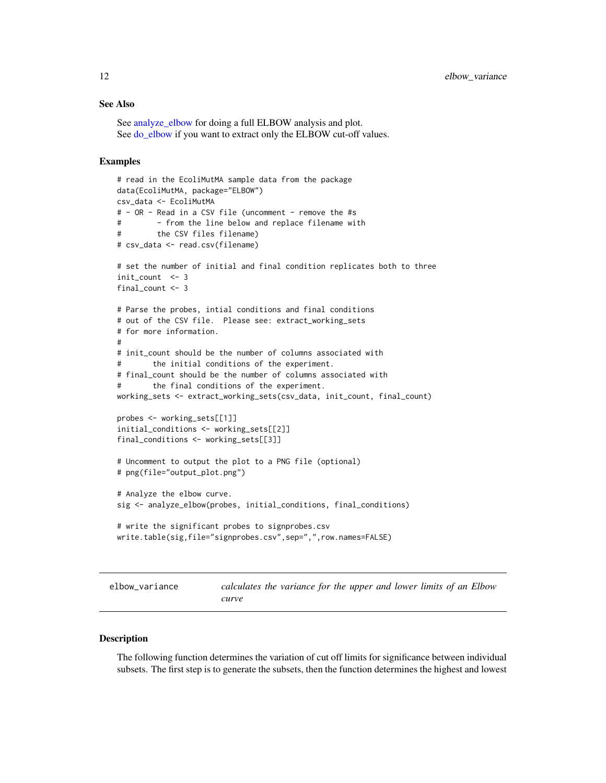#### <span id="page-11-0"></span>See Also

See [analyze\\_elbow](#page-1-1) for doing a full ELBOW analysis and plot. See [do\\_elbow](#page-2-1) if you want to extract only the ELBOW cut-off values.

#### Examples

```
# read in the EcoliMutMA sample data from the package
data(EcoliMutMA, package="ELBOW")
csv_data <- EcoliMutMA
# - OR - Read in a CSV file (uncomment - remove the #s
# - from the line below and replace filename with
# the CSV files filename)
# csv_data <- read.csv(filename)
# set the number of initial and final condition replicates both to three
init_count <- 3
final_count <- 3
# Parse the probes, intial conditions and final conditions
# out of the CSV file. Please see: extract_working_sets
# for more information.
#
# init_count should be the number of columns associated with
# the initial conditions of the experiment.
# final_count should be the number of columns associated with
# the final conditions of the experiment.
working_sets <- extract_working_sets(csv_data, init_count, final_count)
probes <- working_sets[[1]]
initial_conditions <- working_sets[[2]]
final_conditions <- working_sets[[3]]
# Uncomment to output the plot to a PNG file (optional)
# png(file="output_plot.png")
# Analyze the elbow curve.
sig <- analyze_elbow(probes, initial_conditions, final_conditions)
# write the significant probes to signprobes.csv
write.table(sig,file="signprobes.csv",sep=",",row.names=FALSE)
```
elbow\_variance *calculates the variance for the upper and lower limits of an Elbow curve*

#### Description

The following function determines the variation of cut off limits for significance between individual subsets. The first step is to generate the subsets, then the function determines the highest and lowest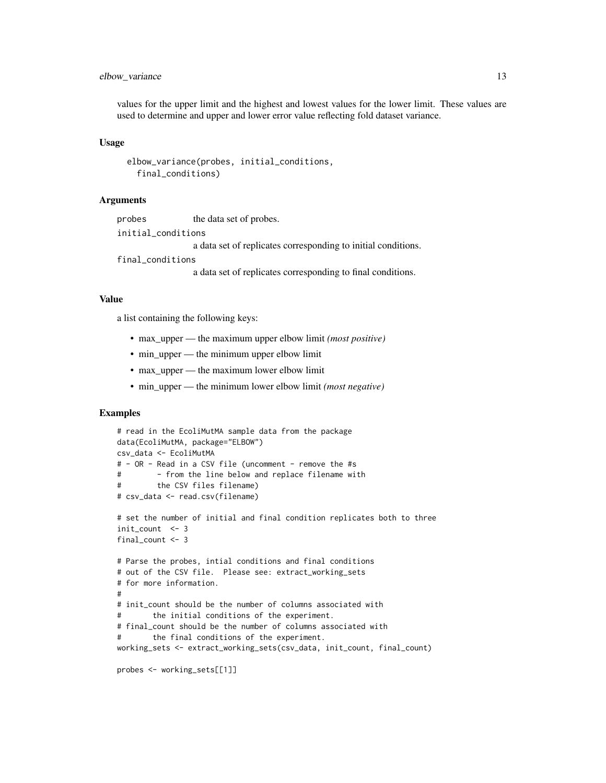## elbow\_variance 13

values for the upper limit and the highest and lowest values for the lower limit. These values are used to determine and upper and lower error value reflecting fold dataset variance.

#### Usage

```
elbow_variance(probes, initial_conditions,
  final_conditions)
```
#### Arguments

probes the data set of probes. initial\_conditions a data set of replicates corresponding to initial conditions. final\_conditions

a data set of replicates corresponding to final conditions.

## Value

a list containing the following keys:

- max\_upper the maximum upper elbow limit *(most positive)*
- min upper the minimum upper elbow limit
- max\_upper the maximum lower elbow limit
- min\_upper the minimum lower elbow limit *(most negative)*

```
# read in the EcoliMutMA sample data from the package
data(EcoliMutMA, package="ELBOW")
csv_data <- EcoliMutMA
# - OR - Read in a CSV file (uncomment - remove the #s
# - from the line below and replace filename with
# the CSV files filename)
# csv_data <- read.csv(filename)
# set the number of initial and final condition replicates both to three
init_count < -3final_count <- 3
# Parse the probes, intial conditions and final conditions
# out of the CSV file. Please see: extract_working_sets
# for more information.
#
# init_count should be the number of columns associated with
# the initial conditions of the experiment.
# final_count should be the number of columns associated with
# the final conditions of the experiment.
working_sets <- extract_working_sets(csv_data, init_count, final_count)
probes <- working_sets[[1]]
```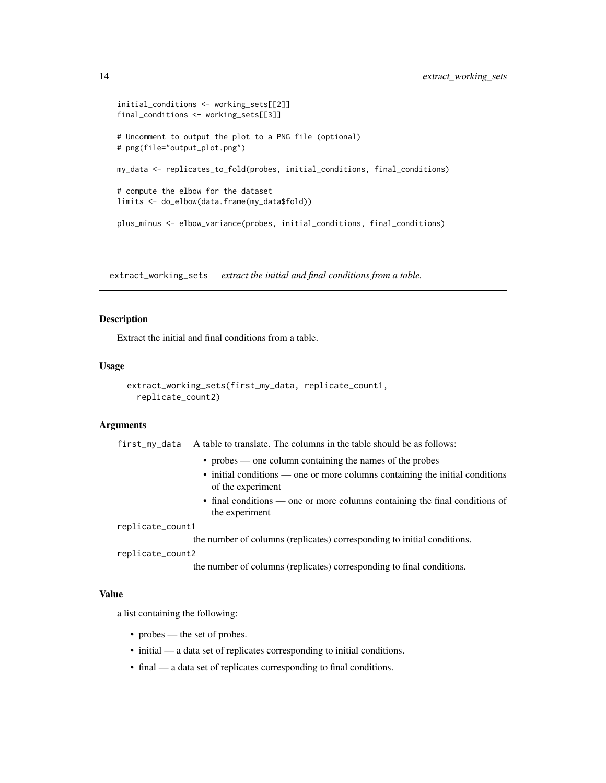```
initial_conditions <- working_sets[[2]]
final_conditions <- working_sets[[3]]
# Uncomment to output the plot to a PNG file (optional)
# png(file="output_plot.png")
my_data <- replicates_to_fold(probes, initial_conditions, final_conditions)
# compute the elbow for the dataset
limits <- do_elbow(data.frame(my_data$fold))
plus_minus <- elbow_variance(probes, initial_conditions, final_conditions)
```
extract\_working\_sets *extract the initial and final conditions from a table.*

#### Description

Extract the initial and final conditions from a table.

#### Usage

```
extract_working_sets(first_my_data, replicate_count1,
  replicate_count2)
```
#### Arguments

first\_my\_data A table to translate. The columns in the table should be as follows:

- probes one column containing the names of the probes
- initial conditions one or more columns containing the initial conditions of the experiment
- final conditions one or more columns containing the final conditions of the experiment

replicate\_count1

the number of columns (replicates) corresponding to initial conditions.

replicate\_count2

the number of columns (replicates) corresponding to final conditions.

#### Value

a list containing the following:

- probes the set of probes.
- initial a data set of replicates corresponding to initial conditions.
- final a data set of replicates corresponding to final conditions.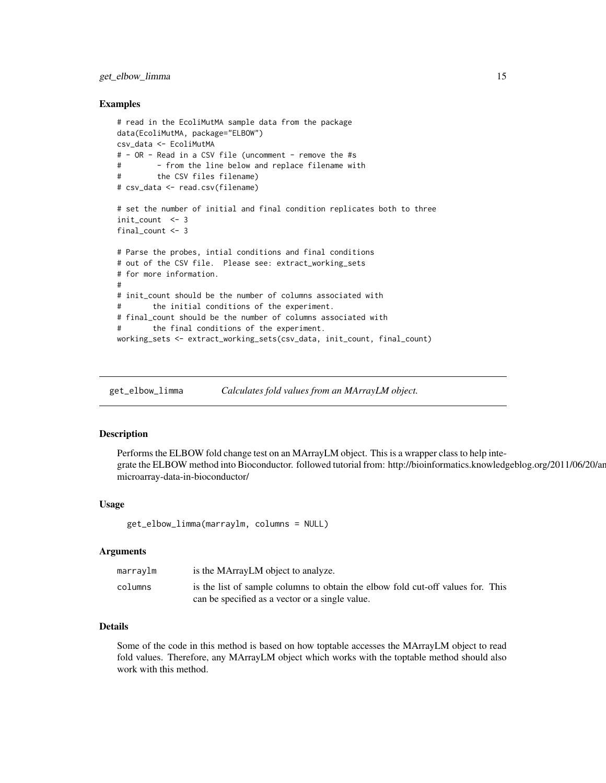## <span id="page-14-0"></span>get\_elbow\_limma 15

#### Examples

```
# read in the EcoliMutMA sample data from the package
data(EcoliMutMA, package="ELBOW")
csv_data <- EcoliMutMA
# - OR - Read in a CSV file (uncomment - remove the #s
# - from the line below and replace filename with
# the CSV files filename)
# csv_data <- read.csv(filename)
# set the number of initial and final condition replicates both to three
init count <- 3final_count <- 3
# Parse the probes, intial conditions and final conditions
# out of the CSV file. Please see: extract_working_sets
# for more information.
#
# init_count should be the number of columns associated with
# the initial conditions of the experiment.
# final_count should be the number of columns associated with
# the final conditions of the experiment.
working_sets <- extract_working_sets(csv_data, init_count, final_count)
```
get\_elbow\_limma *Calculates fold values from an MArrayLM object.*

## Description

Performs the ELBOW fold change test on an MArrayLM object. This is a wrapper class to help integrate the ELBOW method into Bioconductor. followed tutorial from: http://bioinformatics.knowledgeblog.org/2011/06/20/analysingmicroarray-data-in-bioconductor/

## Usage

get\_elbow\_limma(marraylm, columns = NULL)

#### Arguments

| marraylm | is the MArrayLM object to analyze.                                              |
|----------|---------------------------------------------------------------------------------|
| columns  | is the list of sample columns to obtain the elbow fold cut-off values for. This |
|          | can be specified as a vector or a single value.                                 |

#### Details

Some of the code in this method is based on how toptable accesses the MArrayLM object to read fold values. Therefore, any MArrayLM object which works with the toptable method should also work with this method.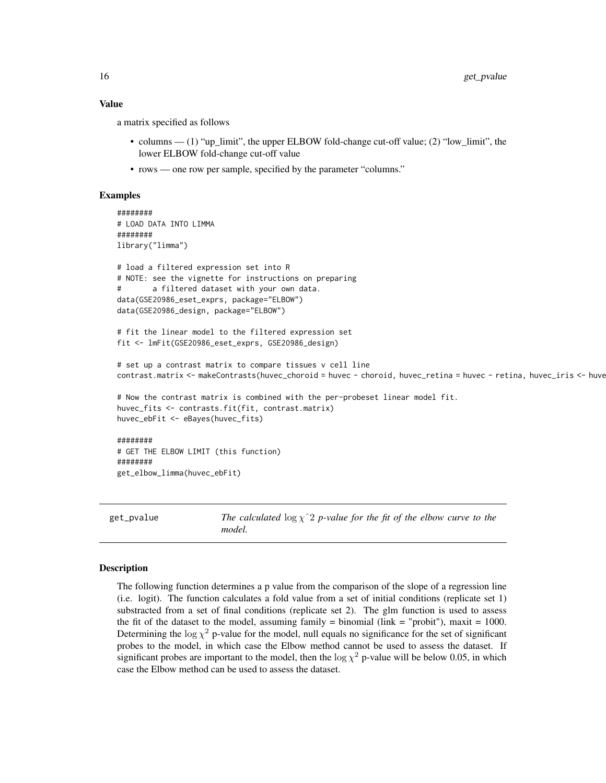#### Value

a matrix specified as follows

- columns (1) "up\_limit", the upper ELBOW fold-change cut-off value; (2) "low\_limit", the lower ELBOW fold-change cut-off value
- rows one row per sample, specified by the parameter "columns."

#### Examples

```
########
# LOAD DATA INTO LIMMA
########
library("limma")
# load a filtered expression set into R
# NOTE: see the vignette for instructions on preparing
# a filtered dataset with your own data.
data(GSE20986_eset_exprs, package="ELBOW")
data(GSE20986_design, package="ELBOW")
# fit the linear model to the filtered expression set
fit <- lmFit(GSE20986_eset_exprs, GSE20986_design)
# set up a contrast matrix to compare tissues v cell line
contrast.matrix <- makeContrasts(huvec_choroid = huvec - choroid, huvec_retina = huvec - retina, huvec_iris <- huve
# Now the contrast matrix is combined with the per-probeset linear model fit.
huvec_fits <- contrasts.fit(fit, contrast.matrix)
huvec_ebFit <- eBayes(huvec_fits)
########
# GET THE ELBOW LIMIT (this function)
########
get_elbow_limma(huvec_ebFit)
```
get\_pvalue *The calculated*  $\log \chi$ <sup> $\gamma$ </sup> *2 p-value for the fit of the elbow curve to the model.*

#### Description

The following function determines a p value from the comparison of the slope of a regression line (i.e. logit). The function calculates a fold value from a set of initial conditions (replicate set 1) substracted from a set of final conditions (replicate set 2). The glm function is used to assess the fit of the dataset to the model, assuming family  $=$  binomial (link  $=$  "probit"), maxit  $=$  1000. Determining the  $\log \chi^2$  p-value for the model, null equals no significance for the set of significant probes to the model, in which case the Elbow method cannot be used to assess the dataset. If significant probes are important to the model, then the  $\log \chi^2$  p-value will be below 0.05, in which case the Elbow method can be used to assess the dataset.

<span id="page-15-0"></span>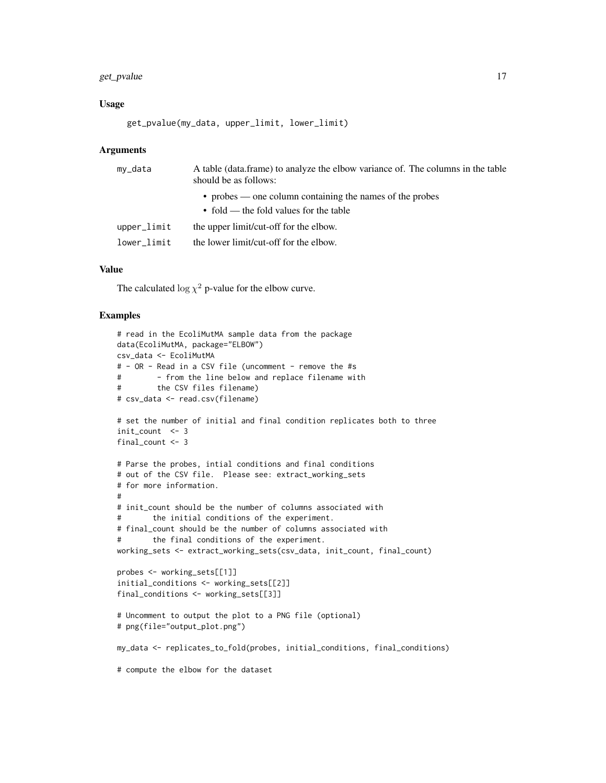## get\_pvalue 17

#### Usage

get\_pvalue(my\_data, upper\_limit, lower\_limit)

#### **Arguments**

| • probes — one column containing the names of the probes<br>$\bullet$ fold — the fold values for the table<br>upper_limit |  |
|---------------------------------------------------------------------------------------------------------------------------|--|
|                                                                                                                           |  |
| the upper limit/cut-off for the elbow.                                                                                    |  |
| the lower limit/cut-off for the elbow.<br>lower limit                                                                     |  |

## Value

The calculated  $\log \chi^2$  p-value for the elbow curve.

```
# read in the EcoliMutMA sample data from the package
data(EcoliMutMA, package="ELBOW")
csv_data <- EcoliMutMA
# - OR - Read in a CSV file (uncomment - remove the #s
# - from the line below and replace filename with
# the CSV files filename)
# csv_data <- read.csv(filename)
# set the number of initial and final condition replicates both to three
init_count <- 3
final_count <- 3
# Parse the probes, intial conditions and final conditions
# out of the CSV file. Please see: extract_working_sets
# for more information.
#
# init_count should be the number of columns associated with
# the initial conditions of the experiment.
# final_count should be the number of columns associated with
# the final conditions of the experiment.
working_sets <- extract_working_sets(csv_data, init_count, final_count)
probes <- working_sets[[1]]
initial_conditions <- working_sets[[2]]
final_conditions <- working_sets[[3]]
# Uncomment to output the plot to a PNG file (optional)
# png(file="output_plot.png")
my_data <- replicates_to_fold(probes, initial_conditions, final_conditions)
# compute the elbow for the dataset
```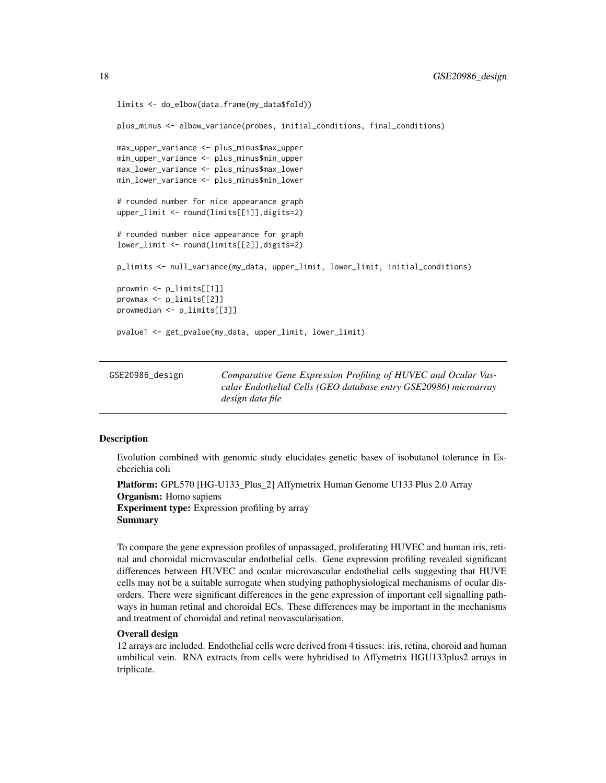```
limits <- do_elbow(data.frame(my_data$fold))
plus_minus <- elbow_variance(probes, initial_conditions, final_conditions)
max_upper_variance <- plus_minus$max_upper
min_upper_variance <- plus_minus$min_upper
max_lower_variance <- plus_minus$max_lower
min_lower_variance <- plus_minus$min_lower
# rounded number for nice appearance graph
upper_limit <- round(limits[[1]],digits=2)
# rounded number nice appearance for graph
lower_limit <- round(limits[[2]],digits=2)
p_limits <- null_variance(my_data, upper_limit, lower_limit, initial_conditions)
prowmin <- p_limits[[1]]
prowmax <- p_limits[[2]]
prowmedian <- p_limits[[3]]
pvalue1 <- get_pvalue(my_data, upper_limit, lower_limit)
```

| GSE20986_design | Comparative Gene Expression Profiling of HUVEC and Ocular Vas-   |
|-----------------|------------------------------------------------------------------|
|                 | cular Endothelial Cells (GEO database entry GSE20986) microarray |
|                 | design data file                                                 |

#### Description

Evolution combined with genomic study elucidates genetic bases of isobutanol tolerance in Escherichia coli

```
Platform: GPL570 [HG-U133 Plus 2] Affymetrix Human Genome U133 Plus 2.0 Array
Organism: Homo sapiens
Experiment type: Expression profiling by array
Summary
```
To compare the gene expression profiles of unpassaged, proliferating HUVEC and human iris, retinal and choroidal microvascular endothelial cells. Gene expression profiling revealed significant differences between HUVEC and ocular microvascular endothelial cells suggesting that HUVE cells may not be a suitable surrogate when studying pathophysiological mechanisms of ocular disorders. There were significant differences in the gene expression of important cell signalling pathways in human retinal and choroidal ECs. These differences may be important in the mechanisms and treatment of choroidal and retinal neovascularisation.

#### Overall design

12 arrays are included. Endothelial cells were derived from 4 tissues: iris, retina, choroid and human umbilical vein. RNA extracts from cells were hybridised to Affymetrix HGU133plus2 arrays in triplicate.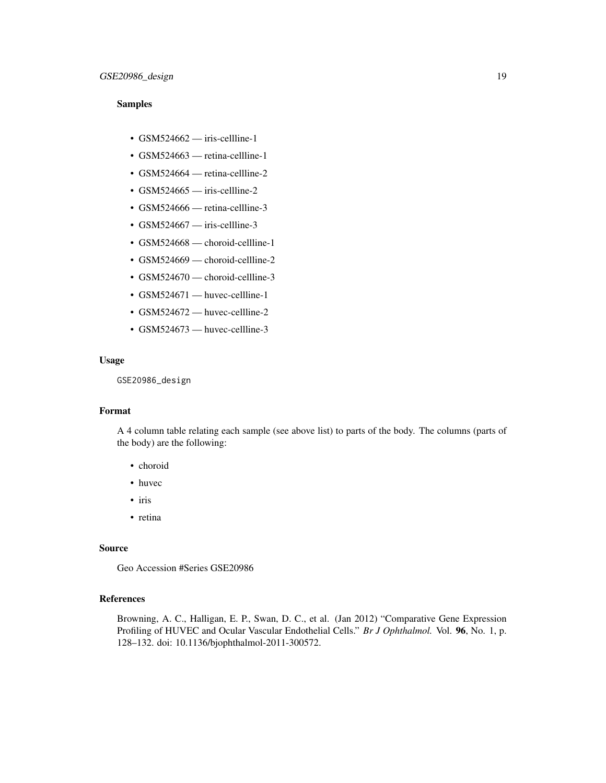#### Samples

- $GSM524662$  iris-cellline-1
- GSM524663 retina-cellline-1
- GSM524664 retina-cellline-2
- $\cdot$  GSM524665 iris-cellline-2
- GSM524666 retina-cellline-3
- $GSM524667$  iris-cellline-3
- GSM524668 choroid-cellline-1
- GSM524669 choroid-cellline-2
- GSM524670 choroid-cellline-3
- GSM524671 huvec-cellline-1
- GSM524672 huvec-cellline-2
- GSM524673 huvec-cellline-3

#### Usage

GSE20986\_design

## Format

A 4 column table relating each sample (see above list) to parts of the body. The columns (parts of the body) are the following:

- choroid
- huvec
- iris
- retina

#### Source

Geo Accession #Series GSE20986

#### References

Browning, A. C., Halligan, E. P., Swan, D. C., et al. (Jan 2012) "Comparative Gene Expression Profiling of HUVEC and Ocular Vascular Endothelial Cells." *Br J Ophthalmol.* Vol. 96, No. 1, p. 128–132. doi: 10.1136/bjophthalmol-2011-300572.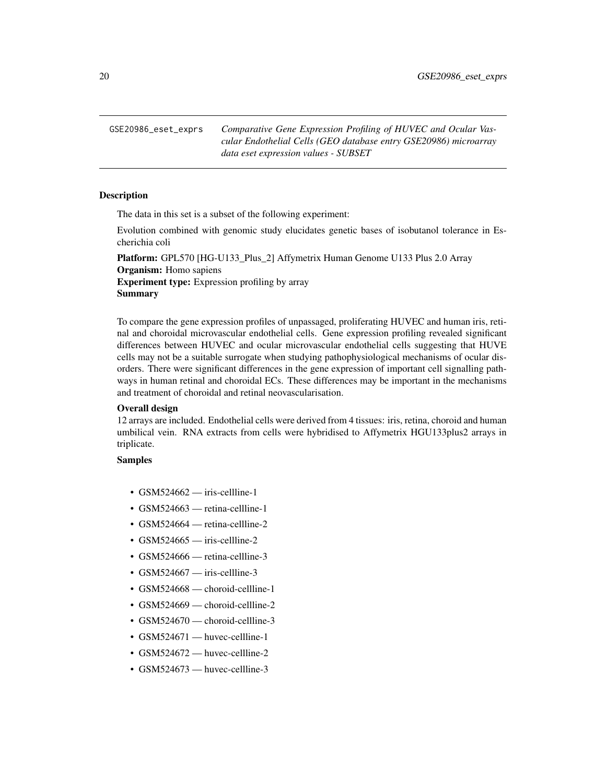<span id="page-19-0"></span>GSE20986\_eset\_exprs *Comparative Gene Expression Profiling of HUVEC and Ocular Vascular Endothelial Cells (GEO database entry GSE20986) microarray data eset expression values - SUBSET*

## **Description**

The data in this set is a subset of the following experiment:

Evolution combined with genomic study elucidates genetic bases of isobutanol tolerance in Escherichia coli

Platform: GPL570 [HG-U133\_Plus\_2] Affymetrix Human Genome U133 Plus 2.0 Array Organism: Homo sapiens Experiment type: Expression profiling by array **Summary** 

To compare the gene expression profiles of unpassaged, proliferating HUVEC and human iris, retinal and choroidal microvascular endothelial cells. Gene expression profiling revealed significant differences between HUVEC and ocular microvascular endothelial cells suggesting that HUVE cells may not be a suitable surrogate when studying pathophysiological mechanisms of ocular disorders. There were significant differences in the gene expression of important cell signalling pathways in human retinal and choroidal ECs. These differences may be important in the mechanisms and treatment of choroidal and retinal neovascularisation.

## Overall design

12 arrays are included. Endothelial cells were derived from 4 tissues: iris, retina, choroid and human umbilical vein. RNA extracts from cells were hybridised to Affymetrix HGU133plus2 arrays in triplicate.

## Samples

- $GSM524662$  iris-cellline-1
- GSM524663 retina-cellline-1
- GSM524664 retina-cellline-2
- $GSM524665$  iris-cellline-2
- GSM524666 retina-cellline-3
- GSM524667 iris-cellline-3
- GSM524668 choroid-cellline-1
- GSM524669 choroid-cellline-2
- GSM524670 choroid-cellline-3
- GSM524671 huvec-cellline-1
- GSM524672 huvec-cellline-2
- GSM524673 huvec-cellline-3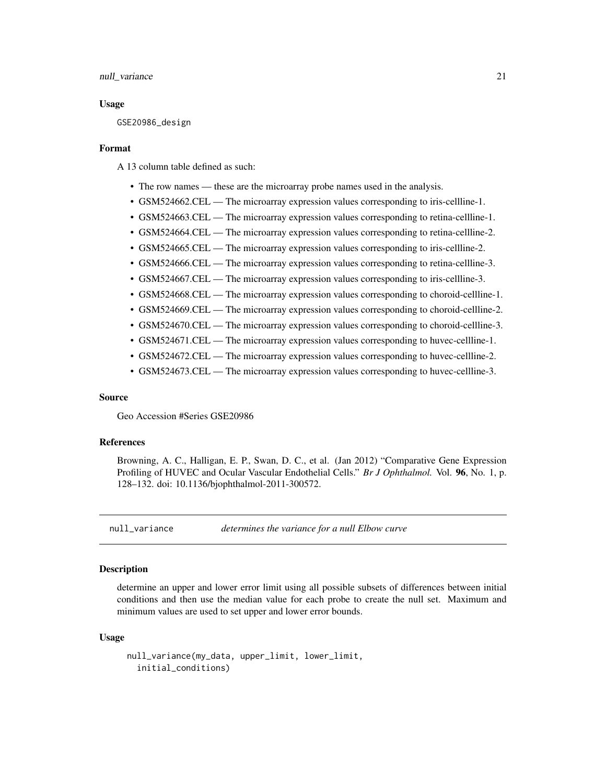#### <span id="page-20-0"></span>null\_variance 21

#### Usage

GSE20986\_design

#### Format

A 13 column table defined as such:

- The row names these are the microarray probe names used in the analysis.
- GSM524662.CEL The microarray expression values corresponding to iris-cellline-1.
- GSM524663.CEL The microarray expression values corresponding to retina-cellline-1.
- GSM524664.CEL The microarray expression values corresponding to retina-cellline-2.
- GSM524665.CEL The microarray expression values corresponding to iris-cellline-2.
- GSM524666.CEL The microarray expression values corresponding to retina-cellline-3.
- GSM524667.CEL The microarray expression values corresponding to iris-cellline-3.
- GSM524668.CEL The microarray expression values corresponding to choroid-cellline-1.
- GSM524669.CEL The microarray expression values corresponding to choroid-cellline-2.
- GSM524670.CEL The microarray expression values corresponding to choroid-cellline-3.
- GSM524671.CEL The microarray expression values corresponding to huvec-cellline-1.
- GSM524672.CEL The microarray expression values corresponding to huvec-cellline-2.
- GSM524673.CEL The microarray expression values corresponding to huvec-cellline-3.

#### Source

Geo Accession #Series GSE20986

#### References

Browning, A. C., Halligan, E. P., Swan, D. C., et al. (Jan 2012) "Comparative Gene Expression Profiling of HUVEC and Ocular Vascular Endothelial Cells." *Br J Ophthalmol.* Vol. 96, No. 1, p. 128–132. doi: 10.1136/bjophthalmol-2011-300572.

null\_variance *determines the variance for a null Elbow curve*

#### **Description**

determine an upper and lower error limit using all possible subsets of differences between initial conditions and then use the median value for each probe to create the null set. Maximum and minimum values are used to set upper and lower error bounds.

#### Usage

```
null_variance(my_data, upper_limit, lower_limit,
 initial_conditions)
```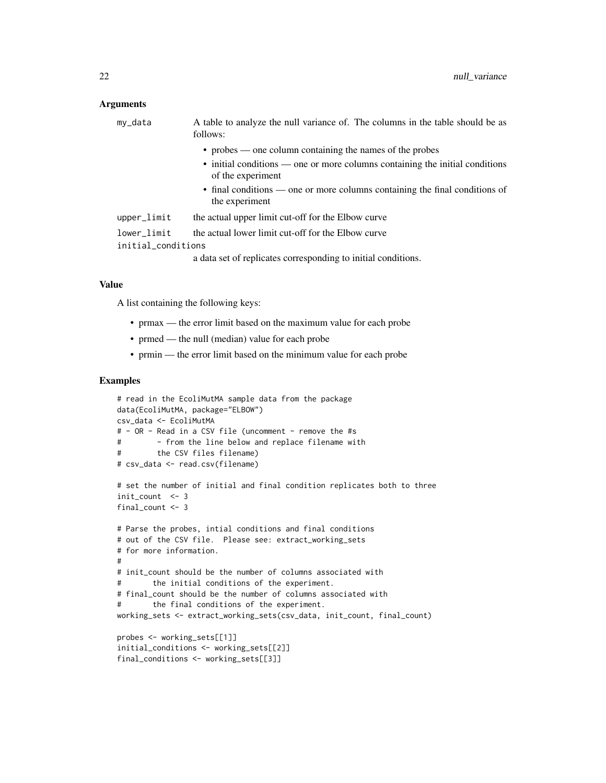#### **Arguments**

|                    | my_data     | A table to analyze the null variance of. The columns in the table should be as<br>follows:        |
|--------------------|-------------|---------------------------------------------------------------------------------------------------|
|                    |             | • probes — one column containing the names of the probes                                          |
|                    |             | • initial conditions — one or more columns containing the initial conditions<br>of the experiment |
|                    |             | • final conditions — one or more columns containing the final conditions of<br>the experiment     |
|                    | upper_limit | the actual upper limit cut-off for the Elbow curve                                                |
|                    | lower_limit | the actual lower limit cut-off for the Elbow curve                                                |
| initial_conditions |             |                                                                                                   |
|                    |             | a data set of replicates corresponding to initial conditions.                                     |

#### Value

A list containing the following keys:

- prmax the error limit based on the maximum value for each probe
- prmed the null (median) value for each probe
- prmin the error limit based on the minimum value for each probe

```
# read in the EcoliMutMA sample data from the package
data(EcoliMutMA, package="ELBOW")
csv_data <- EcoliMutMA
# - OR - Read in a CSV file (uncomment - remove the #s
# - from the line below and replace filename with
# the CSV files filename)
# csv_data <- read.csv(filename)
# set the number of initial and final condition replicates both to three
init_count <- 3
final_count <- 3
# Parse the probes, intial conditions and final conditions
# out of the CSV file. Please see: extract_working_sets
# for more information.
#
# init_count should be the number of columns associated with
# the initial conditions of the experiment.
# final_count should be the number of columns associated with
# the final conditions of the experiment.
working_sets <- extract_working_sets(csv_data, init_count, final_count)
probes <- working_sets[[1]]
initial_conditions <- working_sets[[2]]
final_conditions <- working_sets[[3]]
```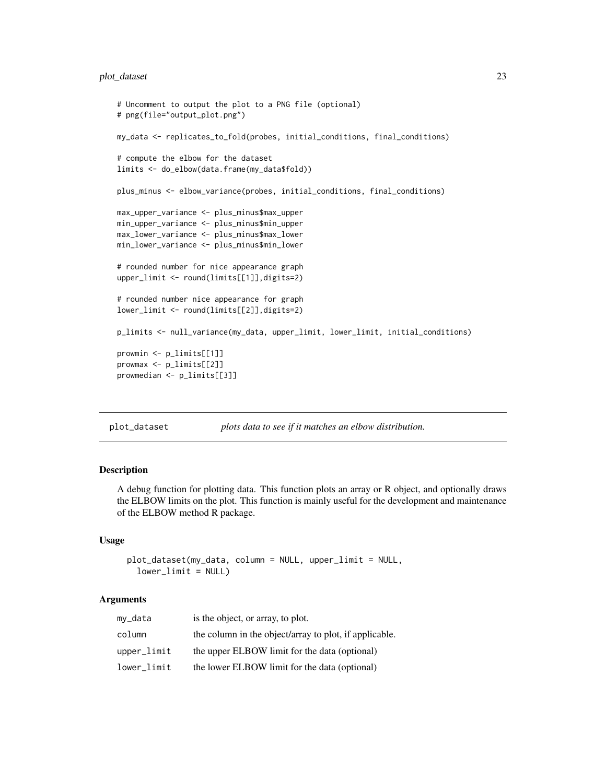## <span id="page-22-0"></span>plot\_dataset 23

```
# Uncomment to output the plot to a PNG file (optional)
# png(file="output_plot.png")
my_data <- replicates_to_fold(probes, initial_conditions, final_conditions)
# compute the elbow for the dataset
limits <- do_elbow(data.frame(my_data$fold))
plus_minus <- elbow_variance(probes, initial_conditions, final_conditions)
max_upper_variance <- plus_minus$max_upper
min_upper_variance <- plus_minus$min_upper
max_lower_variance <- plus_minus$max_lower
min_lower_variance <- plus_minus$min_lower
# rounded number for nice appearance graph
upper_limit <- round(limits[[1]],digits=2)
# rounded number nice appearance for graph
lower_limit <- round(limits[[2]],digits=2)
p_limits <- null_variance(my_data, upper_limit, lower_limit, initial_conditions)
prowmin <- p_limits[[1]]
prowmax <- p_limits[[2]]
prowmedian <- p_limits[[3]]
```
plot\_dataset *plots data to see if it matches an elbow distribution.*

#### Description

A debug function for plotting data. This function plots an array or R object, and optionally draws the ELBOW limits on the plot. This function is mainly useful for the development and maintenance of the ELBOW method R package.

### Usage

```
plot_dataset(my_data, column = NULL, upper_limit = NULL,
 lowerlimit = NULL)
```
#### **Arguments**

| my_data     | is the object, or array, to plot.                      |
|-------------|--------------------------------------------------------|
| column      | the column in the object/array to plot, if applicable. |
| upper_limit | the upper ELBOW limit for the data (optional)          |
| lower_limit | the lower ELBOW limit for the data (optional)          |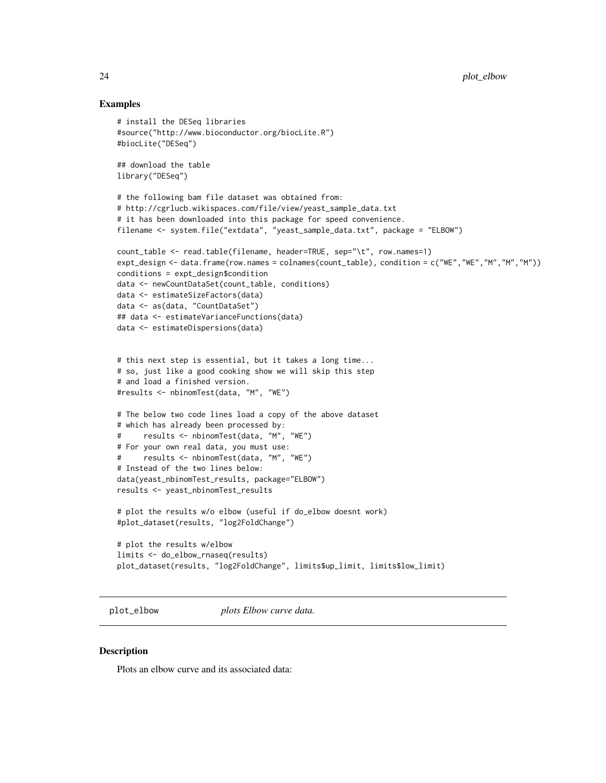#### Examples

```
# install the DESeq libraries
#source("http://www.bioconductor.org/biocLite.R")
#biocLite("DESeq")
## download the table
library("DESeq")
# the following bam file dataset was obtained from:
# http://cgrlucb.wikispaces.com/file/view/yeast_sample_data.txt
# it has been downloaded into this package for speed convenience.
filename <- system.file("extdata", "yeast_sample_data.txt", package = "ELBOW")
count_table <- read.table(filename, header=TRUE, sep="\t", row.names=1)
expt_design <- data.frame(row.names = colnames(count_table), condition = c("WE","WE","M","M","M"))
conditions = expt_design$condition
data <- newCountDataSet(count_table, conditions)
data <- estimateSizeFactors(data)
data <- as(data, "CountDataSet")
## data <- estimateVarianceFunctions(data)
data <- estimateDispersions(data)
# this next step is essential, but it takes a long time...
# so, just like a good cooking show we will skip this step
# and load a finished version.
#results <- nbinomTest(data, "M", "WE")
# The below two code lines load a copy of the above dataset
# which has already been processed by:
# results <- nbinomTest(data, "M", "WE")
# For your own real data, you must use:
# results <- nbinomTest(data, "M", "WE")
# Instead of the two lines below:
data(yeast_nbinomTest_results, package="ELBOW")
results <- yeast_nbinomTest_results
# plot the results w/o elbow (useful if do_elbow doesnt work)
#plot_dataset(results, "log2FoldChange")
# plot the results w/elbow
limits <- do_elbow_rnaseq(results)
plot_dataset(results, "log2FoldChange", limits$up_limit, limits$low_limit)
```
plot\_elbow *plots Elbow curve data.*

#### **Description**

Plots an elbow curve and its associated data:

<span id="page-23-0"></span>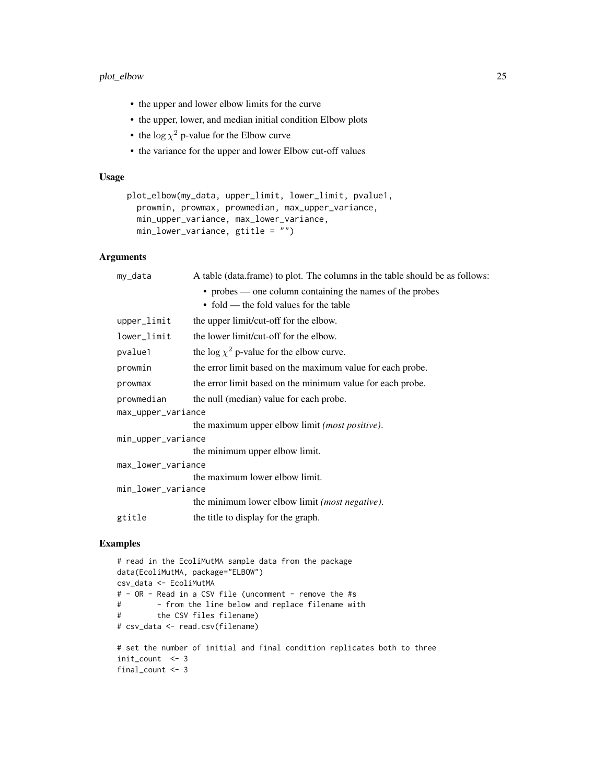## plot\_elbow 25

- the upper and lower elbow limits for the curve
- the upper, lower, and median initial condition Elbow plots
- the  $\log \chi^2$  p-value for the Elbow curve
- the variance for the upper and lower Elbow cut-off values

## Usage

```
plot_elbow(my_data, upper_limit, lower_limit, pvalue1,
  prowmin, prowmax, prowmedian, max_upper_variance,
 min_upper_variance, max_lower_variance,
 min_lower_variance, gtitle = "")
```
## Arguments

| my_data            | A table (data.frame) to plot. The columns in the table should be as follows: |
|--------------------|------------------------------------------------------------------------------|
|                    | • probes — one column containing the names of the probes                     |
|                    | • fold — the fold values for the table                                       |
| upper_limit        | the upper limit/cut-off for the elbow.                                       |
| lower_limit        | the lower limit/cut-off for the elbow.                                       |
| pvalue1            | the $\log \chi^2$ p-value for the elbow curve.                               |
| prowmin            | the error limit based on the maximum value for each probe.                   |
| prowmax            | the error limit based on the minimum value for each probe.                   |
| prowmedian         | the null (median) value for each probe.                                      |
| max_upper_variance |                                                                              |
|                    | the maximum upper elbow limit ( <i>most positive</i> ).                      |
| min_upper_variance |                                                                              |
|                    | the minimum upper elbow limit.                                               |
| max_lower_variance |                                                                              |
|                    | the maximum lower elbow limit.                                               |
| min_lower_variance |                                                                              |
|                    | the minimum lower elbow limit (most negative).                               |
| gtitle             | the title to display for the graph.                                          |
|                    |                                                                              |

```
# read in the EcoliMutMA sample data from the package
data(EcoliMutMA, package="ELBOW")
csv_data <- EcoliMutMA
# - OR - Read in a CSV file (uncomment - remove the #s
# - from the line below and replace filename with
# the CSV files filename)
# csv_data <- read.csv(filename)
# set the number of initial and final condition replicates both to three
```

```
init_count <- 3
final_count <- 3
```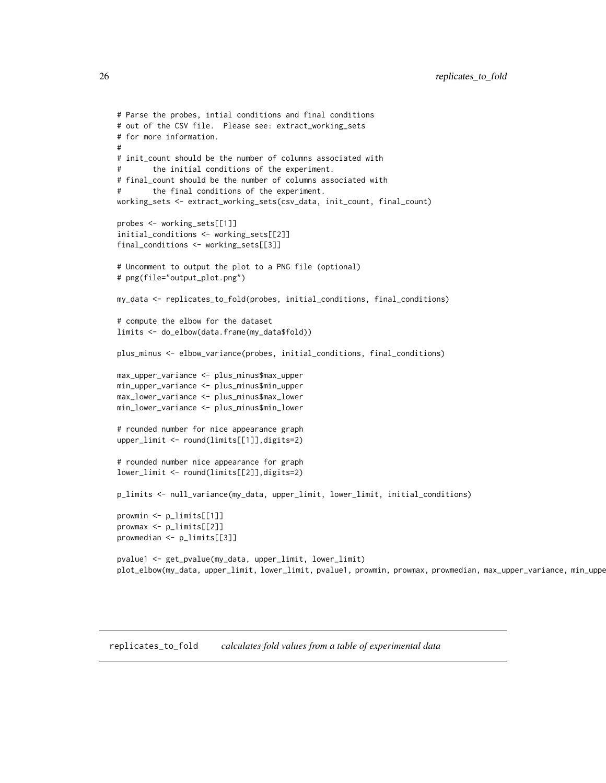```
# Parse the probes, intial conditions and final conditions
# out of the CSV file. Please see: extract_working_sets
# for more information.
#
# init_count should be the number of columns associated with
# the initial conditions of the experiment.
# final_count should be the number of columns associated with
# the final conditions of the experiment.
working_sets <- extract_working_sets(csv_data, init_count, final_count)
probes <- working_sets[[1]]
initial_conditions <- working_sets[[2]]
final_conditions <- working_sets[[3]]
# Uncomment to output the plot to a PNG file (optional)
# png(file="output_plot.png")
my_data <- replicates_to_fold(probes, initial_conditions, final_conditions)
# compute the elbow for the dataset
limits <- do_elbow(data.frame(my_data$fold))
plus_minus <- elbow_variance(probes, initial_conditions, final_conditions)
max_upper_variance <- plus_minus$max_upper
min_upper_variance <- plus_minus$min_upper
max_lower_variance <- plus_minus$max_lower
min_lower_variance <- plus_minus$min_lower
# rounded number for nice appearance graph
upper_limit <- round(limits[[1]],digits=2)
# rounded number nice appearance for graph
lower_limit <- round(limits[[2]],digits=2)
p_limits <- null_variance(my_data, upper_limit, lower_limit, initial_conditions)
prowmin <- p_limits[[1]]
prowmax <- p_limits[[2]]
prowmedian <- p_limits[[3]]
pvalue1 <- get_pvalue(my_data, upper_limit, lower_limit)
plot_elbow(my_data, upper_limit, lower_limit, pvalue1, prowmin, prowmax, prowmedian, max_upper_variance, min_uppe
```
replicates\_to\_fold *calculates fold values from a table of experimental data*

<span id="page-25-0"></span>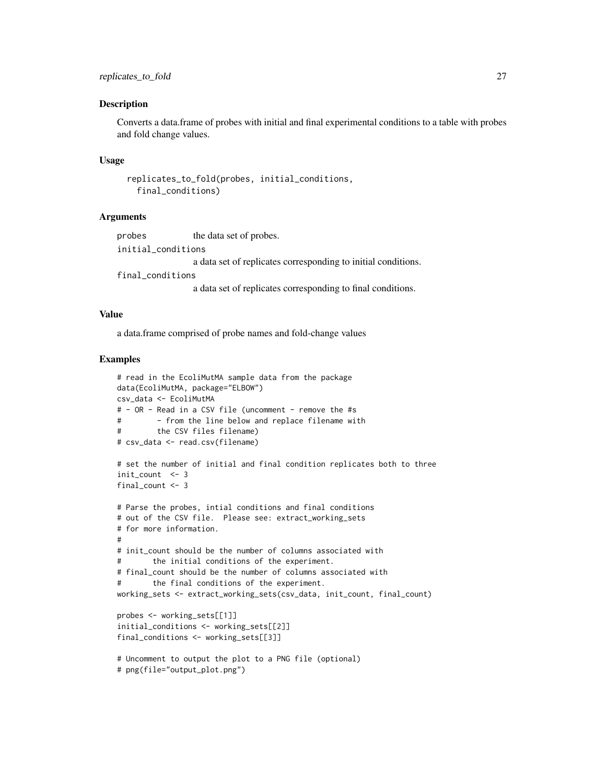#### Description

Converts a data.frame of probes with initial and final experimental conditions to a table with probes and fold change values.

#### Usage

```
replicates_to_fold(probes, initial_conditions,
  final_conditions)
```
## Arguments

| probes             | the data set of probes.                                       |
|--------------------|---------------------------------------------------------------|
| initial conditions |                                                               |
|                    | a data set of replicates corresponding to initial conditions. |

final\_conditions

a data set of replicates corresponding to final conditions.

## Value

a data.frame comprised of probe names and fold-change values

```
# read in the EcoliMutMA sample data from the package
data(EcoliMutMA, package="ELBOW")
csv_data <- EcoliMutMA
# - OR - Read in a CSV file (uncomment - remove the #s
# - from the line below and replace filename with
# the CSV files filename)
# csv_data <- read.csv(filename)
# set the number of initial and final condition replicates both to three
init_count <- 3
final_count <- 3
# Parse the probes, intial conditions and final conditions
# out of the CSV file. Please see: extract_working_sets
# for more information.
#
# init_count should be the number of columns associated with
# the initial conditions of the experiment.
# final_count should be the number of columns associated with
# the final conditions of the experiment.
working_sets <- extract_working_sets(csv_data, init_count, final_count)
probes <- working_sets[[1]]
initial_conditions <- working_sets[[2]]
final_conditions <- working_sets[[3]]
# Uncomment to output the plot to a PNG file (optional)
# png(file="output_plot.png")
```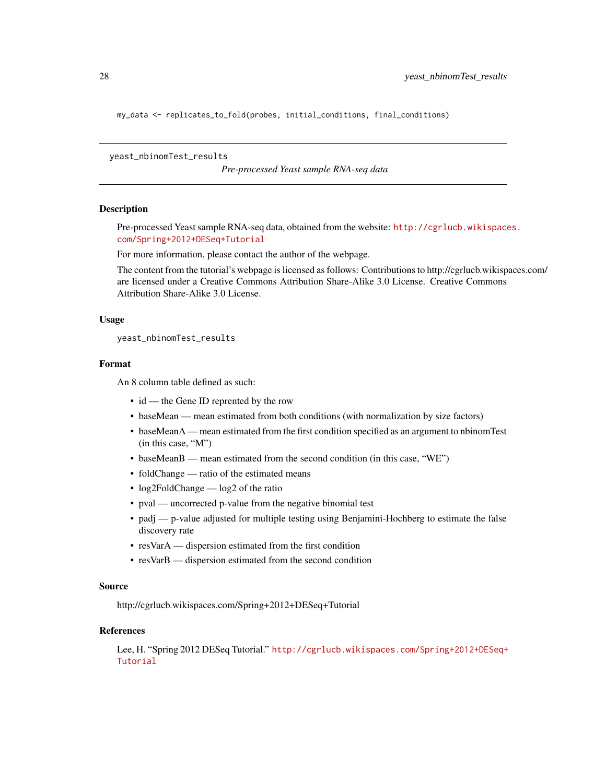<span id="page-27-0"></span>my\_data <- replicates\_to\_fold(probes, initial\_conditions, final\_conditions)

yeast\_nbinomTest\_results

*Pre-processed Yeast sample RNA-seq data*

#### **Description**

Pre-processed Yeast sample RNA-seq data, obtained from the website: [http://cgrlucb.wikispace](http://cgrlucb.wikispaces.com/Spring+2012+DESeq+Tutorial)s. [com/Spring+2012+DESeq+Tutorial](http://cgrlucb.wikispaces.com/Spring+2012+DESeq+Tutorial)

For more information, please contact the author of the webpage.

The content from the tutorial's webpage is licensed as follows: Contributions to http://cgrlucb.wikispaces.com/ are licensed under a Creative Commons Attribution Share-Alike 3.0 License. Creative Commons Attribution Share-Alike 3.0 License.

#### Usage

yeast\_nbinomTest\_results

### Format

An 8 column table defined as such:

- id the Gene ID reprented by the row
- baseMean mean estimated from both conditions (with normalization by size factors)
- baseMeanA mean estimated from the first condition specified as an argument to nbinomTest (in this case, "M")
- baseMeanB mean estimated from the second condition (in this case, "WE")
- foldChange ratio of the estimated means
- log2FoldChange log2 of the ratio
- pval uncorrected p-value from the negative binomial test
- padj p-value adjusted for multiple testing using Benjamini-Hochberg to estimate the false discovery rate
- resVarA dispersion estimated from the first condition
- resVarB dispersion estimated from the second condition

#### Source

http://cgrlucb.wikispaces.com/Spring+2012+DESeq+Tutorial

## References

Lee, H. "Spring 2012 DESeq Tutorial." [http://cgrlucb.wikispaces.com/Spring+2012+DESeq+](http://cgrlucb.wikispaces.com/Spring+2012+DESeq+Tutorial) [Tutorial](http://cgrlucb.wikispaces.com/Spring+2012+DESeq+Tutorial)